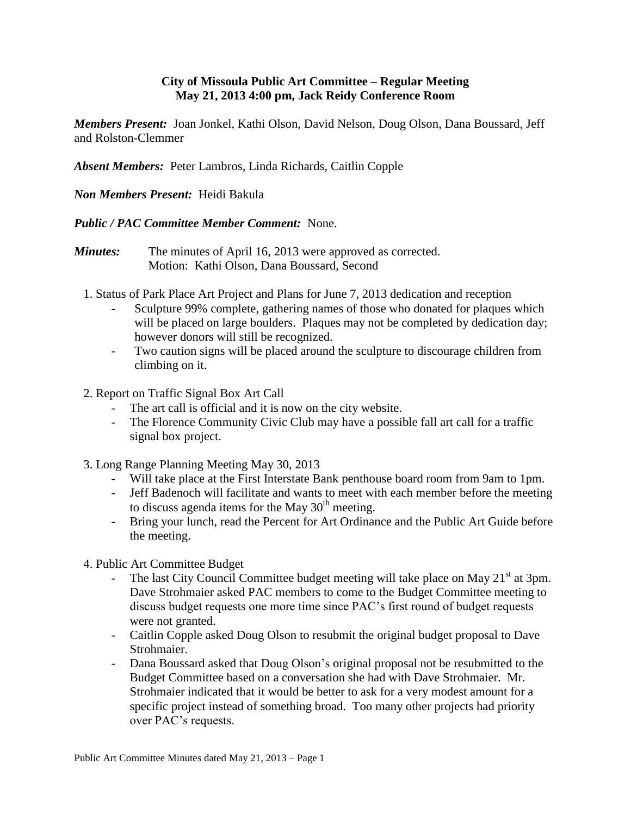## **City of Missoula Public Art Committee – Regular Meeting May 21, 2013 4:00 pm, Jack Reidy Conference Room**

*Members Present:* Joan Jonkel, Kathi Olson, David Nelson, Doug Olson, Dana Boussard, Jeff and Rolston-Clemmer

*Absent Members:* Peter Lambros, Linda Richards, Caitlin Copple

## *Non Members Present:* Heidi Bakula

## *Public / PAC Committee Member Comment:* None.

- *Minutes:* The minutes of April 16, 2013 were approved as corrected. Motion: Kathi Olson, Dana Boussard, Second
	- 1. Status of Park Place Art Project and Plans for June 7, 2013 dedication and reception
		- Sculpture 99% complete, gathering names of those who donated for plaques which will be placed on large boulders. Plaques may not be completed by dedication day; however donors will still be recognized.
		- Two caution signs will be placed around the sculpture to discourage children from climbing on it.
	- 2. Report on Traffic Signal Box Art Call
		- The art call is official and it is now on the city website.
		- The Florence Community Civic Club may have a possible fall art call for a traffic signal box project.
	- 3. Long Range Planning Meeting May 30, 2013
		- Will take place at the First Interstate Bank penthouse board room from 9am to 1pm.
		- Jeff Badenoch will facilitate and wants to meet with each member before the meeting to discuss agenda items for the May  $30<sup>th</sup>$  meeting.
		- Bring your lunch, read the Percent for Art Ordinance and the Public Art Guide before the meeting.
	- 4. Public Art Committee Budget
		- The last City Council Committee budget meeting will take place on May  $21<sup>st</sup>$  at 3pm. Dave Strohmaier asked PAC members to come to the Budget Committee meeting to discuss budget requests one more time since PAC's first round of budget requests were not granted.
		- Caitlin Copple asked Doug Olson to resubmit the original budget proposal to Dave Strohmaier.
		- Dana Boussard asked that Doug Olson's original proposal not be resubmitted to the Budget Committee based on a conversation she had with Dave Strohmaier. Mr. Strohmaier indicated that it would be better to ask for a very modest amount for a specific project instead of something broad. Too many other projects had priority over PAC's requests.